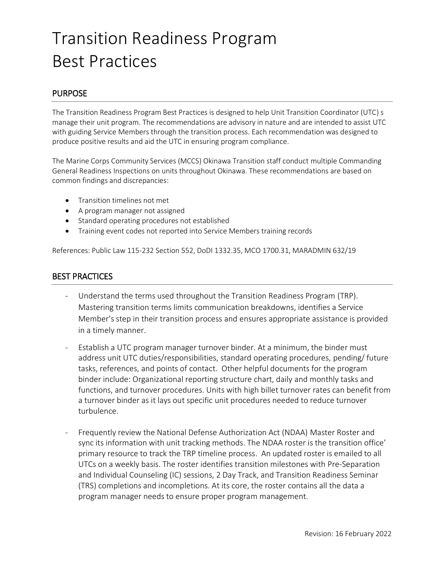# Transition Readiness Program Best Practices

### **PURPOSE**

The Transition Readiness Program Best Practices is designed to help Unit Transition Coordinator (UTC) s manage their unit program. The recommendations are advisory in nature and are intended to assist UTC with guiding Service Members through the transition process. Each recommendation was designed to produce positive results and aid the UTC in ensuring program compliance.

The Marine Corps Community Services (MCCS) Okinawa Transition staff conduct multiple Commanding General Readiness Inspections on units throughout Okinawa. These recommendations are based on common findings and discrepancies:

- **•** Transition timelines not met
- A program manager not assigned
- Standard operating procedures not established
- Training event codes not reported into Service Members training records

References: Public Law 115-232 Section 552, DoDI 1332.35, MCO 1700.31, MARADMIN 632/19

### BEST PRACTICES

- Understand the terms used throughout the Transition Readiness Program (TRP). Mastering transition terms limits communication breakdowns, identifies a Service Member's step in their transition process and ensures appropriate assistance is provided in a timely manner.
- Establish a UTC program manager turnover binder. At a minimum, the binder must address unit UTC duties/responsibilities, standard operating procedures, pending/ future tasks, references, and points of contact. Other helpful documents for the program binder include: Organizational reporting structure chart, daily and monthly tasks and functions, and turnover procedures. Units with high billet turnover rates can benefit from a turnover binder as it lays out specific unit procedures needed to reduce turnover turbulence.
- Frequently review the National Defense Authorization Act (NDAA) Master Roster and sync its information with unit tracking methods. The NDAA roster is the transition office' primary resource to track the TRP timeline process. An updated roster is emailed to all UTCs on a weekly basis. The roster identifies transition milestones with Pre-Separation and Individual Counseling (IC) sessions, 2 Day Track, and Transition Readiness Seminar (TRS) completions and incompletions. At its core, the roster contains all the data a program manager needs to ensure proper program management.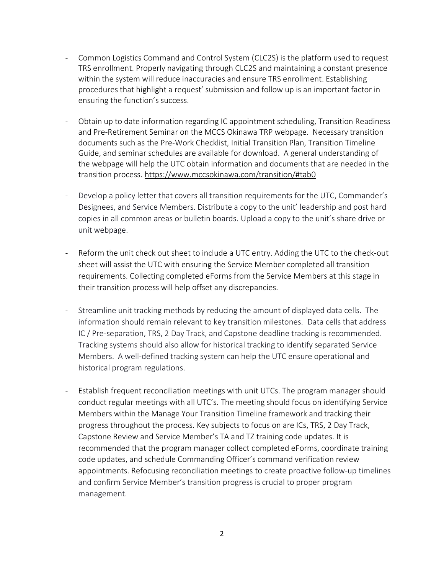- Common Logistics Command and Control System (CLC2S) is the platform used to request TRS enrollment. Properly navigating through CLC2S and maintaining a constant presence within the system will reduce inaccuracies and ensure TRS enrollment. Establishing procedures that highlight a request' submission and follow up is an important factor in ensuring the function's success.
- Obtain up to date information regarding IC appointment scheduling, Transition Readiness and Pre-Retirement Seminar on the MCCS Okinawa TRP webpage. Necessary transition documents such as the Pre-Work Checklist, Initial Transition Plan, Transition Timeline Guide, and seminar schedules are available for download. A general understanding of the webpage will help the UTC obtain information and documents that are needed in the transition process. <https://www.mccsokinawa.com/transition/#tab0>
- Develop a policy letter that covers all transition requirements for the UTC, Commander's Designees, and Service Members. Distribute a copy to the unit' leadership and post hard copies in all common areas or bulletin boards. Upload a copy to the unit's share drive or unit webpage.
- Reform the unit check out sheet to include a UTC entry. Adding the UTC to the check-out sheet will assist the UTC with ensuring the Service Member completed all transition requirements. Collecting completed eForms from the Service Members at this stage in their transition process will help offset any discrepancies.
- Streamline unit tracking methods by reducing the amount of displayed data cells. The information should remain relevant to key transition milestones. Data cells that address IC / Pre-separation, TRS, 2 Day Track, and Capstone deadline tracking is recommended. Tracking systems should also allow for historical tracking to identify separated Service Members. A well-defined tracking system can help the UTC ensure operational and historical program regulations.
- Establish frequent reconciliation meetings with unit UTCs. The program manager should conduct regular meetings with all UTC's. The meeting should focus on identifying Service Members within the Manage Your Transition Timeline framework and tracking their progress throughout the process. Key subjects to focus on are ICs, TRS, 2 Day Track, Capstone Review and Service Member's TA and TZ training code updates. It is recommended that the program manager collect completed eForms, coordinate training code updates, and schedule Commanding Officer's command verification review appointments. Refocusing reconciliation meetings to create proactive follow-up timelines and confirm Service Member's transition progress is crucial to proper program management.